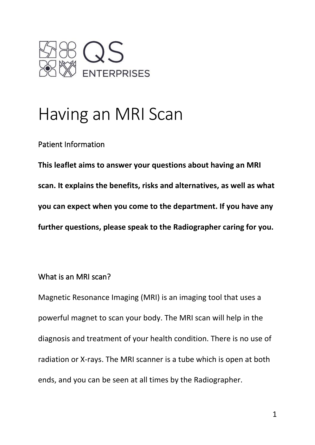

# Having an MRI Scan

Patient Information

**This leaflet aims to answer your questions about having an MRI scan. It explains the benefits, risks and alternatives, as well as what you can expect when you come to the department. If you have any further questions, please speak to the Radiographer caring for you.** 

What is an MRI scan?

Magnetic Resonance Imaging (MRI) is an imaging tool that uses a powerful magnet to scan your body. The MRI scan will help in the diagnosis and treatment of your health condition. There is no use of radiation or X-rays. The MRI scanner is a tube which is open at both ends, and you can be seen at all times by the Radiographer.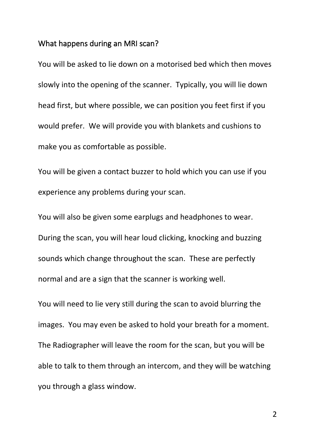#### What happens during an MRI scan?

You will be asked to lie down on a motorised bed which then moves slowly into the opening of the scanner. Typically, you will lie down head first, but where possible, we can position you feet first if you would prefer. We will provide you with blankets and cushions to make you as comfortable as possible.

You will be given a contact buzzer to hold which you can use if you experience any problems during your scan.

You will also be given some earplugs and headphones to wear. During the scan, you will hear loud clicking, knocking and buzzing sounds which change throughout the scan. These are perfectly normal and are a sign that the scanner is working well.

You will need to lie very still during the scan to avoid blurring the images. You may even be asked to hold your breath for a moment. The Radiographer will leave the room for the scan, but you will be able to talk to them through an intercom, and they will be watching you through a glass window.

2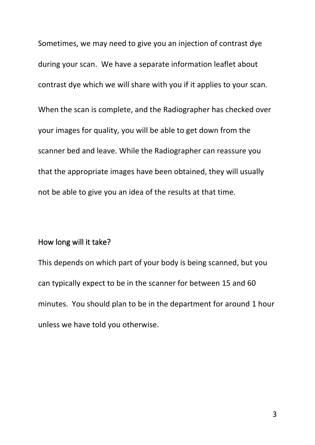Sometimes, we may need to give you an injection of contrast dye during your scan. We have a separate information leaflet about contrast dye which we will share with you if it applies to your scan. When the scan is complete, and the Radiographer has checked over your images for quality, you will be able to get down from the scanner bed and leave. While the Radiographer can reassure you that the appropriate images have been obtained, they will usually not be able to give you an idea of the results at that time.

# How long will it take?

This depends on which part of your body is being scanned, but you can typically expect to be in the scanner for between 15 and 60 minutes. You should plan to be in the department for around 1 hour unless we have told you otherwise.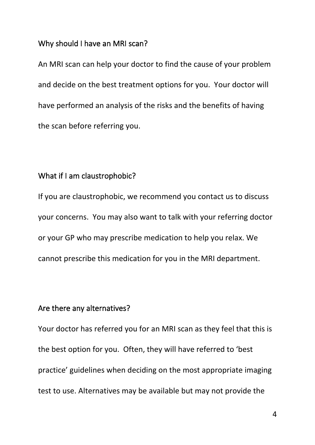### Why should I have an MRI scan?

An MRI scan can help your doctor to find the cause of your problem and decide on the best treatment options for you. Your doctor will have performed an analysis of the risks and the benefits of having the scan before referring you.

## What if I am claustrophobic?

If you are claustrophobic, we recommend you contact us to discuss your concerns. You may also want to talk with your referring doctor or your GP who may prescribe medication to help you relax. We cannot prescribe this medication for you in the MRI department.

# Are there any alternatives?

Your doctor has referred you for an MRI scan as they feel that this is the best option for you. Often, they will have referred to 'best practice' guidelines when deciding on the most appropriate imaging test to use. Alternatives may be available but may not provide the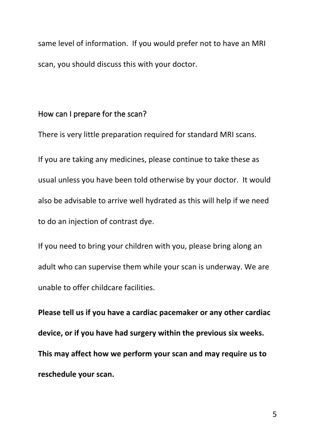same level of information. If you would prefer not to have an MRI scan, you should discuss this with your doctor.

## How can I prepare for the scan?

There is very little preparation required for standard MRI scans.

If you are taking any medicines, please continue to take these as usual unless you have been told otherwise by your doctor. It would also be advisable to arrive well hydrated as this will help if we need to do an injection of contrast dye.

If you need to bring your children with you, please bring along an adult who can supervise them while your scan is underway. We are unable to offer childcare facilities.

**Please tell us if you have a cardiac pacemaker or any other cardiac device, or if you have had surgery within the previous six weeks. This may affect how we perform your scan and may require us to reschedule your scan.**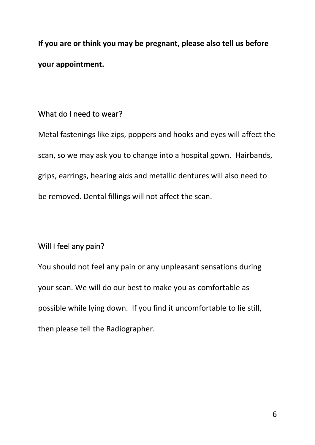**If you are or think you may be pregnant, please also tell us before your appointment.**

# What do I need to wear?

Metal fastenings like zips, poppers and hooks and eyes will affect the scan, so we may ask you to change into a hospital gown. Hairbands, grips, earrings, hearing aids and metallic dentures will also need to be removed. Dental fillings will not affect the scan.

# Will I feel any pain?

You should not feel any pain or any unpleasant sensations during your scan. We will do our best to make you as comfortable as possible while lying down. If you find it uncomfortable to lie still, then please tell the Radiographer.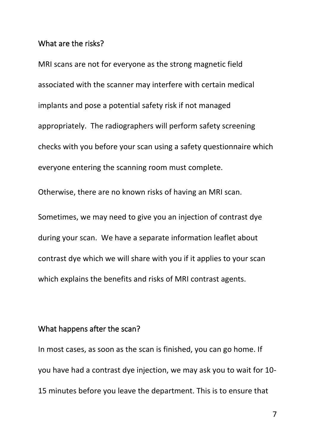#### What are the risks?

MRI scans are not for everyone as the strong magnetic field associated with the scanner may interfere with certain medical implants and pose a potential safety risk if not managed appropriately. The radiographers will perform safety screening checks with you before your scan using a safety questionnaire which everyone entering the scanning room must complete.

Otherwise, there are no known risks of having an MRI scan.

Sometimes, we may need to give you an injection of contrast dye during your scan. We have a separate information leaflet about contrast dye which we will share with you if it applies to your scan which explains the benefits and risks of MRI contrast agents.

#### What happens after the scan?

In most cases, as soon as the scan is finished, you can go home. If you have had a contrast dye injection, we may ask you to wait for 10- 15 minutes before you leave the department. This is to ensure that